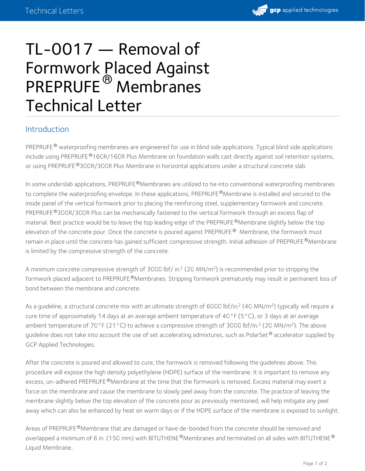

## TL-0017 — Removal of Formwork Placed Against PREPRUFE<sup>®</sup> Membranes Technical Letter

## Introduction

PREPRUFE® waterproofing membranes are engineered for use in blind side applications. Typical blind side applications include using PREPRUFE®160R/160R Plus Membrane on foundation walls cast directly against soil retention systems, or using PREPRUFE®300R/300R Plus Membrane in horizontal applications under a structural concrete slab.

In some underslab applications, PREPRUFE®Membranes are utilized to tie into conventional waterproofing membranes to complete the waterproofing envelope. In these applications, PREPRUFE®Membrane is installed and secured to the inside panel of the vertical formwork prior to placing the reinforcing steel, supplementary formwork and concrete. PREPRUFE®300R/300R Plus can be mechanically fastened to the vertical formwork through an excess flap of material. Best practice would be to leave the top leading edge of the PREPRUFE®Membrane slightly below the top elevation of the concrete pour. Once the concrete is poured against PREPRUFE® Membrane, the formwork must remain in place until the concrete has gained sufficient compressive strength. Initial adhesion of PREPRUFE®Membrane is limited by the compressive strength of the concrete.

A minimum concrete compressive strength of 3000 lbf/ in.<sup>2</sup> (20 MN/m<sup>2</sup>) is recommended prior to stripping the formwork placed adjacent to PREPRUFE®Membranes. Stripping formwork prematurely may result in permanent loss of bond between the membrane and concrete.

As a guideline, a structural concrete mix with an ultimate strength of 6000 lbf/in.<sup>2</sup> (40 MN/m<sup>2</sup>) typically will require a cure time of approximately 14 days at an average ambient temperature of 40°F (5°C), or 3 days at an average ambient temperature of 70°F (21°C) to achieve a compressive strength of 3000 lbf/in.<sup>2</sup> (20 MN/m<sup>2</sup>). The above guideline does not take into account the use of set accelerating admixtures, such as PolarSet  $^\circledR$  accelerator supplied by GCP Applied Technologies.

After the concrete is poured and allowed to cure, the formwork is removed following the guidelines above. This procedure will expose the high density polyethylene (HDPE) surface of the membrane. It is important to remove any excess, un-adhered PREPRUFE®Membrane at the time that the formwork is removed. Excess material may exert a force on the membrane and cause the membrane to slowly peel away from the concrete. The practice of leaving the membrane slightly below the top elevation of the concrete pour as previously mentioned, will help mitigate any peel away which can also be enhanced by heat on warm days or if the HDPE surface of the membrane is exposed to sunlight.

Areas of PREPRUFE®Membrane that are damaged or have de-bonded from the concrete should be removed and overlapped a minimum of 6 in. (150 mm) with BITUTHENE®Membranes and terminated on all sides with BITUTHENE® Liquid Membrane..